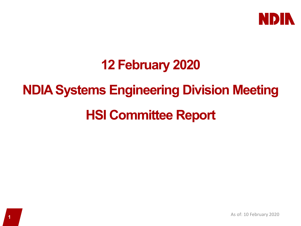

### **12 February 2020**

## **NDIA Systems Engineering Division Meeting**

### **HSI Committee Report**

**1** As of: 10 February 2020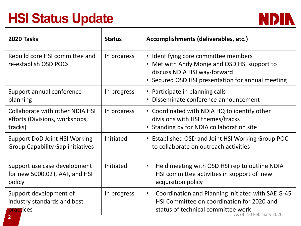# **HSI Status Update**



| <b>2020 Tasks</b>                                                               | <b>Status</b> | Accomplishments (deliverables, etc.)                                                                                                                                      |
|---------------------------------------------------------------------------------|---------------|---------------------------------------------------------------------------------------------------------------------------------------------------------------------------|
| Rebuild core HSI committee and<br>re-establish OSD POCs                         | In progress   | • Identifying core committee members<br>• Met with Andy Monje and OSD HSI support to<br>discuss NDIA HSI way-forward<br>• Secured OSD HSI presentation for annual meeting |
| Support annual conference<br>planning                                           | In progress   | • Participate in planning calls<br>Disseminate conference announcement<br>$\bullet$                                                                                       |
| Collaborate with other NDIA HSI<br>efforts (Divisions, workshops,<br>tracks)    | In progress   | • Coordinated with NDIA HQ to identify other<br>divisions with HSI themes/tracks<br>Standing by for NDIA collaboration site                                               |
| <b>Support DoD Joint HSI Working</b><br><b>Group Capability Gap initiatives</b> | Initiated     | • Established OSD and Joint HSI Working Group POC<br>to collaborate on outreach activities                                                                                |
| Support use case development<br>for new 5000.02T, AAF, and HSI<br>policy        | Initiated     | Held meeting with OSD HSI rep to outline NDIA<br>$\bullet$<br>HSI committee activities in support of new<br>acquisition policy                                            |
| Support development of<br>industry standards and best<br><b>practices</b>       | In progress   | Coordination and Planning initiated with SAE G-45<br>$\bullet$<br>HSI Committee on coordination for 2020 and<br>status of technical committee work<br>of 10 February 2020 |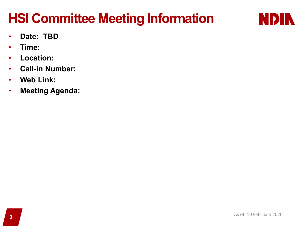# **HSI Committee Meeting Information**



- **Date: TBD**
- **Time:**
- **Location:**
- **Call-in Number:**
- **Web Link:**
- **Meeting Agenda:**